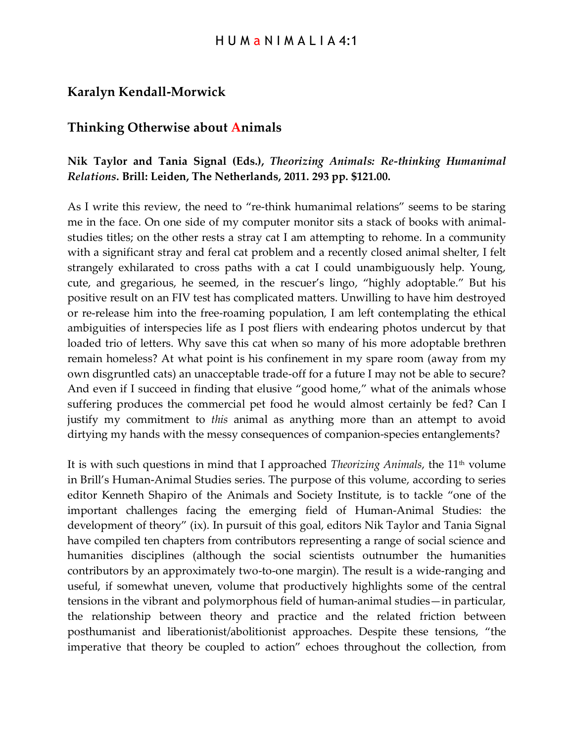## **Karalyn Kendall-Morwick**

## **Thinking Otherwise about Animals**

## **Nik Taylor and Tania Signal (Eds.),** *Theorizing Animals: Re-thinking Humanimal Relations***. Brill: Leiden, The Netherlands, 2011. 293 pp. \$121.00.**

As I write this review, the need to "re-think humanimal relations" seems to be staring me in the face. On one side of my computer monitor sits a stack of books with animalstudies titles; on the other rests a stray cat I am attempting to rehome. In a community with a significant stray and feral cat problem and a recently closed animal shelter, I felt strangely exhilarated to cross paths with a cat I could unambiguously help. Young, cute, and gregarious, he seemed, in the rescuer's lingo, "highly adoptable." But his positive result on an FIV test has complicated matters. Unwilling to have him destroyed or re-release him into the free-roaming population, I am left contemplating the ethical ambiguities of interspecies life as I post fliers with endearing photos undercut by that loaded trio of letters. Why save this cat when so many of his more adoptable brethren remain homeless? At what point is his confinement in my spare room (away from my own disgruntled cats) an unacceptable trade-off for a future I may not be able to secure? And even if I succeed in finding that elusive "good home," what of the animals whose suffering produces the commercial pet food he would almost certainly be fed? Can I justify my commitment to *this* animal as anything more than an attempt to avoid dirtying my hands with the messy consequences of companion-species entanglements?

It is with such questions in mind that I approached *Theorizing Animals*, the 11th volume in Brill's Human-Animal Studies series. The purpose of this volume, according to series editor Kenneth Shapiro of the Animals and Society Institute, is to tackle "one of the important challenges facing the emerging field of Human-Animal Studies: the development of theory" (ix). In pursuit of this goal, editors Nik Taylor and Tania Signal have compiled ten chapters from contributors representing a range of social science and humanities disciplines (although the social scientists outnumber the humanities contributors by an approximately two-to-one margin). The result is a wide-ranging and useful, if somewhat uneven, volume that productively highlights some of the central tensions in the vibrant and polymorphous field of human-animal studies—in particular, the relationship between theory and practice and the related friction between posthumanist and liberationist/abolitionist approaches. Despite these tensions, "the imperative that theory be coupled to action" echoes throughout the collection, from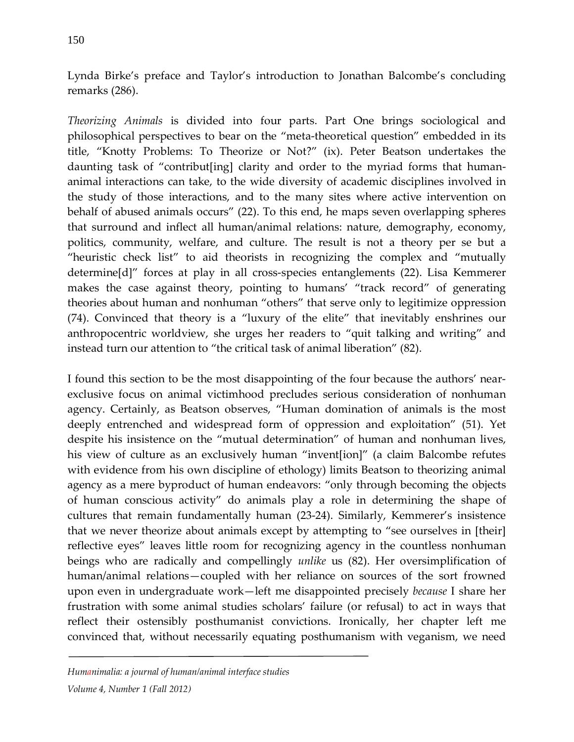Lynda Birke's preface and Taylor's introduction to Jonathan Balcombe's concluding remarks (286).

*Theorizing Animals* is divided into four parts. Part One brings sociological and philosophical perspectives to bear on the "meta-theoretical question" embedded in its title, "Knotty Problems: To Theorize or Not?" (ix). Peter Beatson undertakes the daunting task of "contribut[ing] clarity and order to the myriad forms that humananimal interactions can take, to the wide diversity of academic disciplines involved in the study of those interactions, and to the many sites where active intervention on behalf of abused animals occurs" (22). To this end, he maps seven overlapping spheres that surround and inflect all human/animal relations: nature, demography, economy, politics, community, welfare, and culture. The result is not a theory per se but a "heuristic check list" to aid theorists in recognizing the complex and "mutually determine[d]" forces at play in all cross-species entanglements (22). Lisa Kemmerer makes the case against theory, pointing to humans' "track record" of generating theories about human and nonhuman "others" that serve only to legitimize oppression (74). Convinced that theory is a "luxury of the elite" that inevitably enshrines our anthropocentric worldview, she urges her readers to "quit talking and writing" and instead turn our attention to "the critical task of animal liberation" (82).

I found this section to be the most disappointing of the four because the authors' nearexclusive focus on animal victimhood precludes serious consideration of nonhuman agency. Certainly, as Beatson observes, "Human domination of animals is the most deeply entrenched and widespread form of oppression and exploitation" (51). Yet despite his insistence on the "mutual determination" of human and nonhuman lives, his view of culture as an exclusively human "invent[ion]" (a claim Balcombe refutes with evidence from his own discipline of ethology) limits Beatson to theorizing animal agency as a mere byproduct of human endeavors: "only through becoming the objects of human conscious activity" do animals play a role in determining the shape of cultures that remain fundamentally human (23-24). Similarly, Kemmerer's insistence that we never theorize about animals except by attempting to "see ourselves in [their] reflective eyes" leaves little room for recognizing agency in the countless nonhuman beings who are radically and compellingly *unlike* us (82). Her oversimplification of human/animal relations—coupled with her reliance on sources of the sort frowned upon even in undergraduate work—left me disappointed precisely *because* I share her frustration with some animal studies scholars' failure (or refusal) to act in ways that reflect their ostensibly posthumanist convictions. Ironically, her chapter left me convinced that, without necessarily equating posthumanism with veganism, we need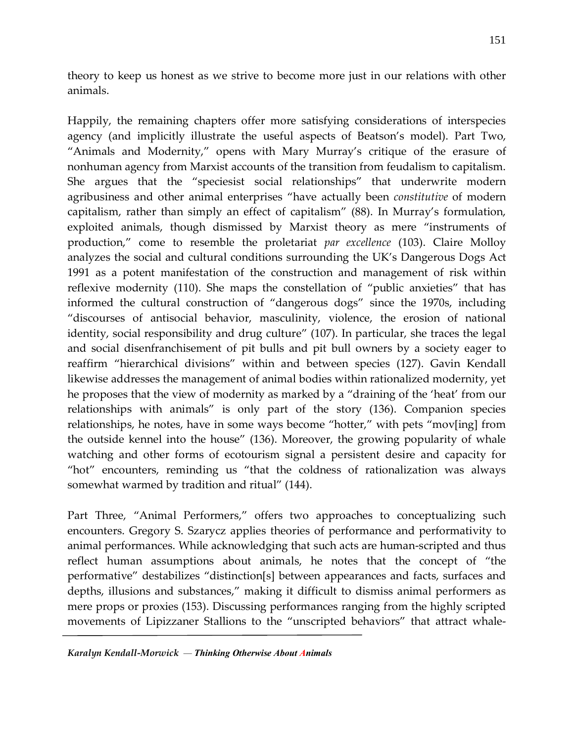theory to keep us honest as we strive to become more just in our relations with other animals.

Happily, the remaining chapters offer more satisfying considerations of interspecies agency (and implicitly illustrate the useful aspects of Beatson's model). Part Two, "Animals and Modernity," opens with Mary Murray's critique of the erasure of nonhuman agency from Marxist accounts of the transition from feudalism to capitalism. She argues that the "speciesist social relationships" that underwrite modern agribusiness and other animal enterprises "have actually been *constitutive* of modern capitalism, rather than simply an effect of capitalism" (88). In Murray's formulation, exploited animals, though dismissed by Marxist theory as mere "instruments of production," come to resemble the proletariat *par excellence* (103). Claire Molloy analyzes the social and cultural conditions surrounding the UK's Dangerous Dogs Act 1991 as a potent manifestation of the construction and management of risk within reflexive modernity (110). She maps the constellation of "public anxieties" that has informed the cultural construction of "dangerous dogs" since the 1970s, including "discourses of antisocial behavior, masculinity, violence, the erosion of national identity, social responsibility and drug culture" (107). In particular, she traces the legal and social disenfranchisement of pit bulls and pit bull owners by a society eager to reaffirm "hierarchical divisions" within and between species (127). Gavin Kendall likewise addresses the management of animal bodies within rationalized modernity, yet he proposes that the view of modernity as marked by a "draining of the 'heat' from our relationships with animals" is only part of the story (136). Companion species relationships, he notes, have in some ways become "hotter," with pets "mov[ing] from the outside kennel into the house" (136). Moreover, the growing popularity of whale watching and other forms of ecotourism signal a persistent desire and capacity for "hot" encounters, reminding us "that the coldness of rationalization was always somewhat warmed by tradition and ritual" (144).

Part Three, "Animal Performers," offers two approaches to conceptualizing such encounters. Gregory S. Szarycz applies theories of performance and performativity to animal performances. While acknowledging that such acts are human-scripted and thus reflect human assumptions about animals, he notes that the concept of "the performative" destabilizes "distinction[s] between appearances and facts, surfaces and depths, illusions and substances," making it difficult to dismiss animal performers as mere props or proxies (153). Discussing performances ranging from the highly scripted movements of Lipizzaner Stallions to the "unscripted behaviors" that attract whale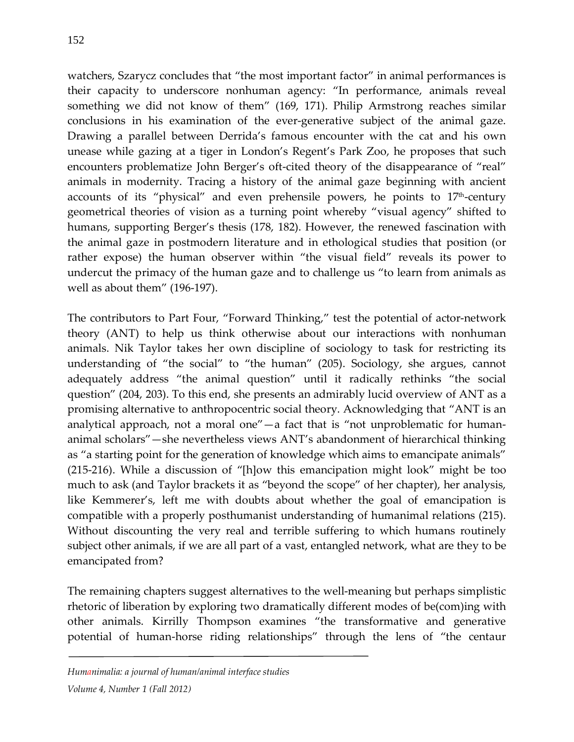watchers, Szarycz concludes that "the most important factor" in animal performances is their capacity to underscore nonhuman agency: "In performance, animals reveal something we did not know of them" (169, 171). Philip Armstrong reaches similar conclusions in his examination of the ever-generative subject of the animal gaze. Drawing a parallel between Derrida's famous encounter with the cat and his own unease while gazing at a tiger in London's Regent's Park Zoo, he proposes that such encounters problematize John Berger's oft-cited theory of the disappearance of "real" animals in modernity. Tracing a history of the animal gaze beginning with ancient accounts of its "physical" and even prehensile powers, he points to  $17<sup>th</sup>$ -century geometrical theories of vision as a turning point whereby "visual agency" shifted to humans, supporting Berger's thesis (178, 182). However, the renewed fascination with the animal gaze in postmodern literature and in ethological studies that position (or rather expose) the human observer within "the visual field" reveals its power to undercut the primacy of the human gaze and to challenge us "to learn from animals as well as about them" (196-197).

The contributors to Part Four, "Forward Thinking," test the potential of actor-network theory (ANT) to help us think otherwise about our interactions with nonhuman animals. Nik Taylor takes her own discipline of sociology to task for restricting its understanding of "the social" to "the human" (205). Sociology, she argues, cannot adequately address "the animal question" until it radically rethinks "the social question" (204, 203). To this end, she presents an admirably lucid overview of ANT as a promising alternative to anthropocentric social theory. Acknowledging that "ANT is an analytical approach, not a moral one"—a fact that is "not unproblematic for humananimal scholars"—she nevertheless views ANT's abandonment of hierarchical thinking as "a starting point for the generation of knowledge which aims to emancipate animals" (215-216). While a discussion of "[h]ow this emancipation might look" might be too much to ask (and Taylor brackets it as "beyond the scope" of her chapter), her analysis, like Kemmerer's, left me with doubts about whether the goal of emancipation is compatible with a properly posthumanist understanding of humanimal relations (215). Without discounting the very real and terrible suffering to which humans routinely subject other animals, if we are all part of a vast, entangled network, what are they to be emancipated from?

The remaining chapters suggest alternatives to the well-meaning but perhaps simplistic rhetoric of liberation by exploring two dramatically different modes of be(com)ing with other animals. Kirrilly Thompson examines "the transformative and generative potential of human-horse riding relationships" through the lens of "the centaur

*Humanimalia: a journal of human/animal interface studies*